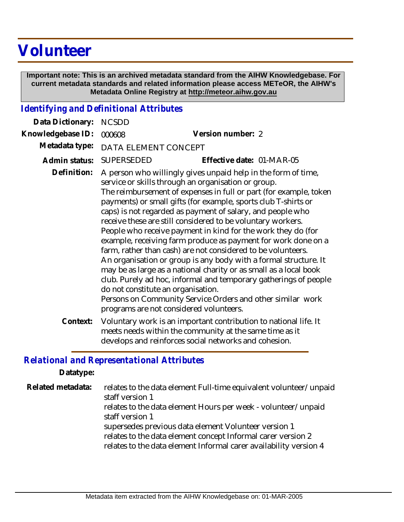## **Volunteer**

 **Important note: This is an archived metadata standard from the AIHW Knowledgebase. For current metadata standards and related information please access METeOR, the AIHW's Metadata Online Registry at http://meteor.aihw.gov.au**

## *Identifying and Definitional Attributes*

| Data Dictionary:  | <b>NCSDD</b>                       |                                                                                                                                                                                                                                                                                                                                                                                                                                                                                                                                                                                                                                                                                                                                                                                                                                                                                                                 |
|-------------------|------------------------------------|-----------------------------------------------------------------------------------------------------------------------------------------------------------------------------------------------------------------------------------------------------------------------------------------------------------------------------------------------------------------------------------------------------------------------------------------------------------------------------------------------------------------------------------------------------------------------------------------------------------------------------------------------------------------------------------------------------------------------------------------------------------------------------------------------------------------------------------------------------------------------------------------------------------------|
| Knowledgebase ID: | 000608                             | Version number: 2                                                                                                                                                                                                                                                                                                                                                                                                                                                                                                                                                                                                                                                                                                                                                                                                                                                                                               |
| Metadata type:    | DATA ELEMENT CONCEPT               |                                                                                                                                                                                                                                                                                                                                                                                                                                                                                                                                                                                                                                                                                                                                                                                                                                                                                                                 |
| Admin status:     | <b>SUPERSEDED</b>                  | Effective date: 01-MAR-05                                                                                                                                                                                                                                                                                                                                                                                                                                                                                                                                                                                                                                                                                                                                                                                                                                                                                       |
| Definition:       | do not constitute an organisation. | A person who willingly gives unpaid help in the form of time,<br>service or skills through an organisation or group.<br>The reimbursement of expenses in full or part (for example, token<br>payments) or small gifts (for example, sports club T-shirts or<br>caps) is not regarded as payment of salary, and people who<br>receive these are still considered to be voluntary workers.<br>People who receive payment in kind for the work they do (for<br>example, receiving farm produce as payment for work done on a<br>farm, rather than cash) are not considered to be volunteers.<br>An organisation or group is any body with a formal structure. It<br>may be as large as a national charity or as small as a local book<br>club. Purely ad hoc, informal and temporary gatherings of people<br>Persons on Community Service Orders and other similar work<br>programs are not considered volunteers. |
| Context:          |                                    | Voluntary work is an important contribution to national life. It<br>meets needs within the community at the same time as it<br>develops and reinforces social networks and cohesion.                                                                                                                                                                                                                                                                                                                                                                                                                                                                                                                                                                                                                                                                                                                            |

## *Relational and Representational Attributes*

**Datatype:**

relates to the data element Full-time equivalent volunteer/unpaid staff version 1 relates to the data element Hours per week - volunteer/unpaid staff version 1 supersedes previous data element Volunteer version 1 relates to the data element concept Informal carer version 2 relates to the data element Informal carer availability version 4 **Related metadata:**